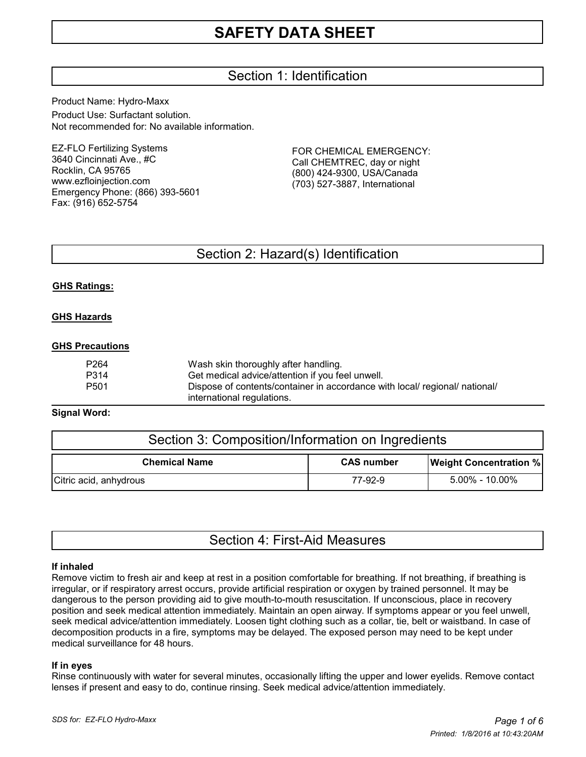## Section 1: Identification

Product Name: Hydro-Maxx Product Use: Surfactant solution. Not recommended for: No available information.

EZ-FLO Fertilizing Systems 3640 Cincinnati Ave., #C Rocklin, CA 95765 www.ezfloinjection.com Emergency Phone: (866) 393-5601 Fax: (916) 652-5754

FOR CHEMICAL EMERGENCY: Call CHEMTREC, day or night (800) 424-9300, USA/Canada (703) 527-3887, International

## Section 2: Hazard(s) Identification

#### **GHS Ratings:**

#### **GHS Hazards**

#### **GHS Precautions**

| P264 | Wash skin thoroughly after handling.                                        |
|------|-----------------------------------------------------------------------------|
| P314 | Get medical advice/attention if you feel unwell.                            |
| P501 | Dispose of contents/container in accordance with local/ regional/ national/ |
|      | international regulations.                                                  |

#### **Signal Word:**

| Section 3: Composition/Information on Ingredients |                   |                               |  |
|---------------------------------------------------|-------------------|-------------------------------|--|
| <b>Chemical Name</b>                              | <b>CAS number</b> | <b>Weight Concentration %</b> |  |
| Citric acid, anhydrous                            | 77-92-9           | $5.00\%$ - 10.00%             |  |

|  |  | Section 4: First-Aid Measures |
|--|--|-------------------------------|
|--|--|-------------------------------|

#### **If inhaled**

Remove victim to fresh air and keep at rest in a position comfortable for breathing. If not breathing, if breathing is irregular, or if respiratory arrest occurs, provide artificial respiration or oxygen by trained personnel. It may be dangerous to the person providing aid to give mouth-to-mouth resuscitation. If unconscious, place in recovery position and seek medical attention immediately. Maintain an open airway. If symptoms appear or you feel unwell, seek medical advice/attention immediately. Loosen tight clothing such as a collar, tie, belt or waistband. In case of decomposition products in a fire, symptoms may be delayed. The exposed person may need to be kept under medical surveillance for 48 hours.

#### **If in eyes**

Rinse continuously with water for several minutes, occasionally lifting the upper and lower eyelids. Remove contact lenses if present and easy to do, continue rinsing. Seek medical advice/attention immediately.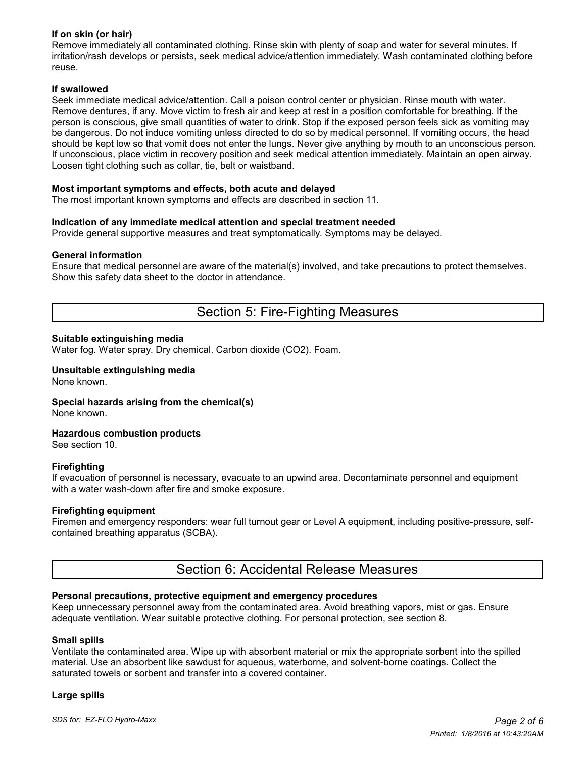### **If on skin (or hair)**

Remove immediately all contaminated clothing. Rinse skin with plenty of soap and water for several minutes. If irritation/rash develops or persists, seek medical advice/attention immediately. Wash contaminated clothing before reuse.

#### **If swallowed**

Seek immediate medical advice/attention. Call a poison control center or physician. Rinse mouth with water. Remove dentures, if any. Move victim to fresh air and keep at rest in a position comfortable for breathing. If the person is conscious, give small quantities of water to drink. Stop if the exposed person feels sick as vomiting may be dangerous. Do not induce vomiting unless directed to do so by medical personnel. If vomiting occurs, the head should be kept low so that vomit does not enter the lungs. Never give anything by mouth to an unconscious person. If unconscious, place victim in recovery position and seek medical attention immediately. Maintain an open airway. Loosen tight clothing such as collar, tie, belt or waistband.

#### **Most important symptoms and effects, both acute and delayed**

The most important known symptoms and effects are described in section 11.

#### **Indication of any immediate medical attention and special treatment needed**

Provide general supportive measures and treat symptomatically. Symptoms may be delayed.

#### **General information**

Ensure that medical personnel are aware of the material(s) involved, and take precautions to protect themselves. Show this safety data sheet to the doctor in attendance.

### Section 5: Fire-Fighting Measures

#### **Suitable extinguishing media**

Water fog. Water spray. Dry chemical. Carbon dioxide (CO2). Foam.

#### **Unsuitable extinguishing media** None known.

**Special hazards arising from the chemical(s)**

None known.

#### **Hazardous combustion products**

See section 10.

#### **Firefighting**

If evacuation of personnel is necessary, evacuate to an upwind area. Decontaminate personnel and equipment with a water wash-down after fire and smoke exposure.

#### **Firefighting equipment**

Firemen and emergency responders: wear full turnout gear or Level A equipment, including positive-pressure, selfcontained breathing apparatus (SCBA).

### Section 6: Accidental Release Measures

#### **Personal precautions, protective equipment and emergency procedures**

Keep unnecessary personnel away from the contaminated area. Avoid breathing vapors, mist or gas. Ensure adequate ventilation. Wear suitable protective clothing. For personal protection, see section 8.

#### **Small spills**

Ventilate the contaminated area. Wipe up with absorbent material or mix the appropriate sorbent into the spilled material. Use an absorbent like sawdust for aqueous, waterborne, and solvent-borne coatings. Collect the saturated towels or sorbent and transfer into a covered container.

#### **Large spills**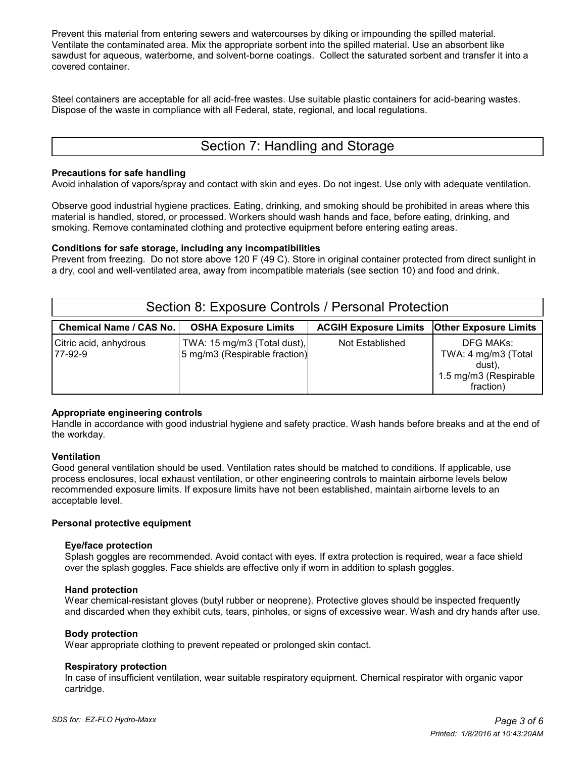Prevent this material from entering sewers and watercourses by diking or impounding the spilled material. Ventilate the contaminated area. Mix the appropriate sorbent into the spilled material. Use an absorbent like sawdust for aqueous, waterborne, and solvent-borne coatings. Collect the saturated sorbent and transfer it into a covered container.

Steel containers are acceptable for all acid-free wastes. Use suitable plastic containers for acid-bearing wastes. Dispose of the waste in compliance with all Federal, state, regional, and local regulations.

## Section 7: Handling and Storage

#### **Precautions for safe handling**

Avoid inhalation of vapors/spray and contact with skin and eyes. Do not ingest. Use only with adequate ventilation.

Observe good industrial hygiene practices. Eating, drinking, and smoking should be prohibited in areas where this material is handled, stored, or processed. Workers should wash hands and face, before eating, drinking, and smoking. Remove contaminated clothing and protective equipment before entering eating areas.

#### **Conditions for safe storage, including any incompatibilities**

Prevent from freezing. Do not store above 120 F (49 C). Store in original container protected from direct sunlight in a dry, cool and well-ventilated area, away from incompatible materials (see section 10) and food and drink.

| Section 8: Exposure Controls / Personal Protection |                                                              |                                                      |                                                                                  |  |  |  |  |
|----------------------------------------------------|--------------------------------------------------------------|------------------------------------------------------|----------------------------------------------------------------------------------|--|--|--|--|
| <b>Chemical Name / CAS No.</b>                     | <b>OSHA Exposure Limits</b>                                  | <b>ACGIH Exposure Limits   Other Exposure Limits</b> |                                                                                  |  |  |  |  |
| Citric acid, anhydrous<br>177-92-9                 | TWA: 15 mg/m3 (Total dust),<br>5 mg/m3 (Respirable fraction) | Not Established                                      | DFG MAKs:<br>TWA: 4 mg/m3 (Total<br>dust).<br>1.5 mg/m3 (Respirable<br>fraction) |  |  |  |  |

### **Appropriate engineering controls**

Handle in accordance with good industrial hygiene and safety practice. Wash hands before breaks and at the end of the workday.

### **Ventilation**

Good general ventilation should be used. Ventilation rates should be matched to conditions. If applicable, use process enclosures, local exhaust ventilation, or other engineering controls to maintain airborne levels below recommended exposure limits. If exposure limits have not been established, maintain airborne levels to an acceptable level.

#### **Personal protective equipment**

#### **Eye/face protection**

 Splash goggles are recommended. Avoid contact with eyes. If extra protection is required, wear a face shield over the splash goggles. Face shields are effective only if worn in addition to splash goggles.

#### **Hand protection**

 Wear chemical-resistant gloves (butyl rubber or neoprene). Protective gloves should be inspected frequently and discarded when they exhibit cuts, tears, pinholes, or signs of excessive wear. Wash and dry hands after use.

#### **Body protection**

Wear appropriate clothing to prevent repeated or prolonged skin contact.

#### **Respiratory protection**

 In case of insufficient ventilation, wear suitable respiratory equipment. Chemical respirator with organic vapor cartridge.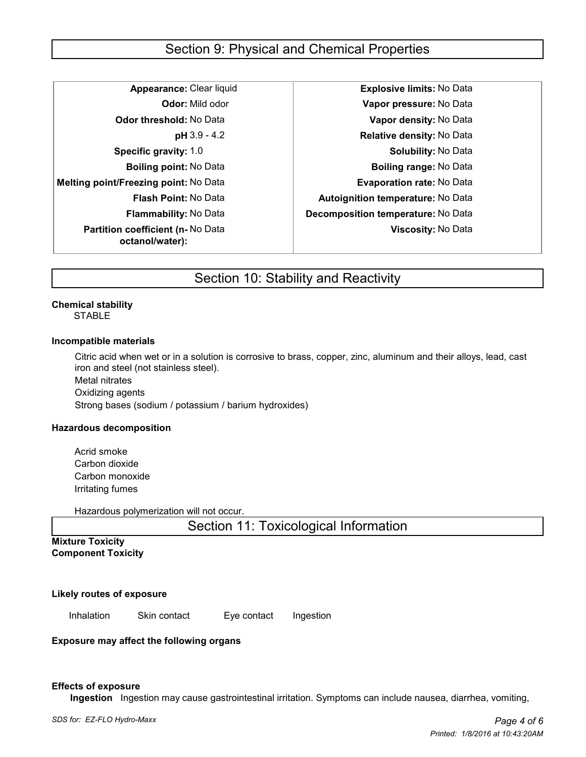## Section 9: Physical and Chemical Properties

**Melting point/Freezing point:** No Data **Evaporation rate:** No Data **Partition coefficient (n-** No Data **octanol/water):**

**Appearance:** Clear liquid **Explosive limits:** No Data **Odor:** Mild odor **Vapor pressure:** No Data **Odor threshold:** No Data **Vapor density:** No Data **pH** 3.9 - 4.2 **Relative density:** No Data **Specific gravity:** 1.0 **Specific gravity:** 1.0 **Solubility:** No Data **Boiling point:** No Data **Boiling range:** No Data **Flash Point:** No Data **Autoignition temperature:** No Data **Flammability:** No Data **Decomposition temperature:** No Data **Viscosity:** No Data

## Section 10: Stability and Reactivity

#### **Chemical stability STABLE**

#### **Incompatible materials**

Citric acid when wet or in a solution is corrosive to brass, copper, zinc, aluminum and their alloys, lead, cast iron and steel (not stainless steel).

Metal nitrates Oxidizing agents Strong bases (sodium / potassium / barium hydroxides)

#### **Hazardous decomposition**

Acrid smoke Carbon dioxide Carbon monoxide Irritating fumes

Hazardous polymerization will not occur.

Section 11: Toxicological Information

**Mixture Toxicity Component Toxicity**

**Likely routes of exposure**

Inhalation Skin contact Eye contact Ingestion

**Exposure may affect the following organs**

#### **Effects of exposure**

 **Ingestion** Ingestion may cause gastrointestinal irritation. Symptoms can include nausea, diarrhea, vomiting,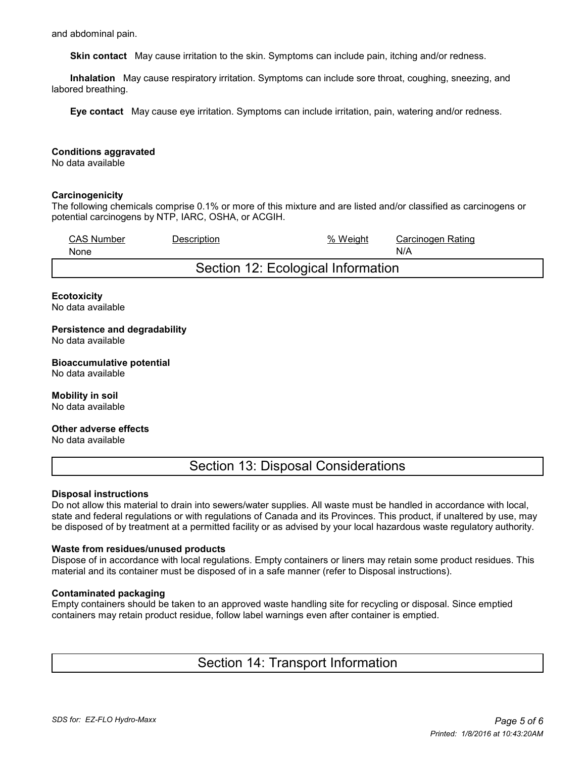and abdominal pain.

 **Skin contact** May cause irritation to the skin. Symptoms can include pain, itching and/or redness.

 **Inhalation** May cause respiratory irritation. Symptoms can include sore throat, coughing, sneezing, and labored breathing.

 **Eye contact** May cause eye irritation. Symptoms can include irritation, pain, watering and/or redness.

#### **Conditions aggravated**

No data available

#### **Carcinogenicity**

The following chemicals comprise 0.1% or more of this mixture and are listed and/or classified as carcinogens or potential carcinogens by NTP, IARC, OSHA, or ACGIH.

| <b>CAS Number</b>                  | Description | % Weight | Carcinogen Rating |  |
|------------------------------------|-------------|----------|-------------------|--|
| None                               |             |          | N/A               |  |
| Section 12: Ecological Information |             |          |                   |  |

#### **Ecotoxicity**

No data available

#### **Persistence and degradability** No data available

## **Bioaccumulative potential**

No data available

### **Mobility in soil**

No data available

#### **Other adverse effects**

No data available

### Section 13: Disposal Considerations

#### **Disposal instructions**

Do not allow this material to drain into sewers/water supplies. All waste must be handled in accordance with local, state and federal regulations or with regulations of Canada and its Provinces. This product, if unaltered by use, may be disposed of by treatment at a permitted facility or as advised by your local hazardous waste regulatory authority.

#### **Waste from residues/unused products**

Dispose of in accordance with local regulations. Empty containers or liners may retain some product residues. This material and its container must be disposed of in a safe manner (refer to Disposal instructions).

#### **Contaminated packaging**

Empty containers should be taken to an approved waste handling site for recycling or disposal. Since emptied containers may retain product residue, follow label warnings even after container is emptied.

### Section 14: Transport Information